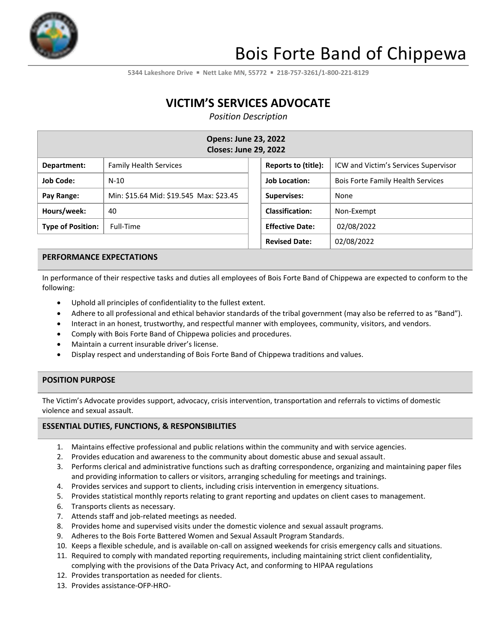

# Bois Forte Band of Chippewa

**5344 Lakeshore Drive** ▪ **Nett Lake MN, 55772** ▪ **218-757-3261/1-800-221-8129**

# **VICTIM'S SERVICES ADVOCATE**

*Position Description*

| <b>Opens: June 23, 2022</b><br><b>Closes: June 29, 2022</b> |                                         |  |                        |                                          |  |
|-------------------------------------------------------------|-----------------------------------------|--|------------------------|------------------------------------------|--|
| Department:                                                 | <b>Family Health Services</b>           |  | Reports to (title):    | ICW and Victim's Services Supervisor     |  |
| <b>Job Code:</b>                                            | $N-10$                                  |  | <b>Job Location:</b>   | <b>Bois Forte Family Health Services</b> |  |
| Pay Range:                                                  | Min: \$15.64 Mid: \$19.545 Max: \$23.45 |  | <b>Supervises:</b>     | None                                     |  |
| Hours/week:                                                 | 40                                      |  | <b>Classification:</b> | Non-Exempt                               |  |
| <b>Type of Position:</b>                                    | Full-Time                               |  | <b>Effective Date:</b> | 02/08/2022                               |  |
|                                                             |                                         |  | <b>Revised Date:</b>   | 02/08/2022                               |  |

#### **PERFORMANCE EXPECTATIONS**

In performance of their respective tasks and duties all employees of Bois Forte Band of Chippewa are expected to conform to the following:

- Uphold all principles of confidentiality to the fullest extent.
- Adhere to all professional and ethical behavior standards of the tribal government (may also be referred to as "Band").
- Interact in an honest, trustworthy, and respectful manner with employees, community, visitors, and vendors.
- Comply with Bois Forte Band of Chippewa policies and procedures.
- Maintain a current insurable driver's license.
- Display respect and understanding of Bois Forte Band of Chippewa traditions and values.

#### **POSITION PURPOSE**

The Victim's Advocate provides support, advocacy, crisis intervention, transportation and referrals to victims of domestic violence and sexual assault.

#### **ESSENTIAL DUTIES, FUNCTIONS, & RESPONSIBILITIES**

- 1. Maintains effective professional and public relations within the community and with service agencies.
- 2. Provides education and awareness to the community about domestic abuse and sexual assault.
- 3. Performs clerical and administrative functions such as drafting correspondence, organizing and maintaining paper files and providing information to callers or visitors, arranging scheduling for meetings and trainings.
- 4. Provides services and support to clients, including crisis intervention in emergency situations.
- 5. Provides statistical monthly reports relating to grant reporting and updates on client cases to management.
- 6. Transports clients as necessary.
- 7. Attends staff and job-related meetings as needed.
- 8. Provides home and supervised visits under the domestic violence and sexual assault programs.
- 9. Adheres to the Bois Forte Battered Women and Sexual Assault Program Standards.
- 10. Keeps a flexible schedule, and is available on-call on assigned weekends for crisis emergency calls and situations.
- 11. Required to comply with mandated reporting requirements, including maintaining strict client confidentiality, complying with the provisions of the Data Privacy Act, and conforming to HIPAA regulations
- 12. Provides transportation as needed for clients.
- 13. Provides assistance-OFP-HRO-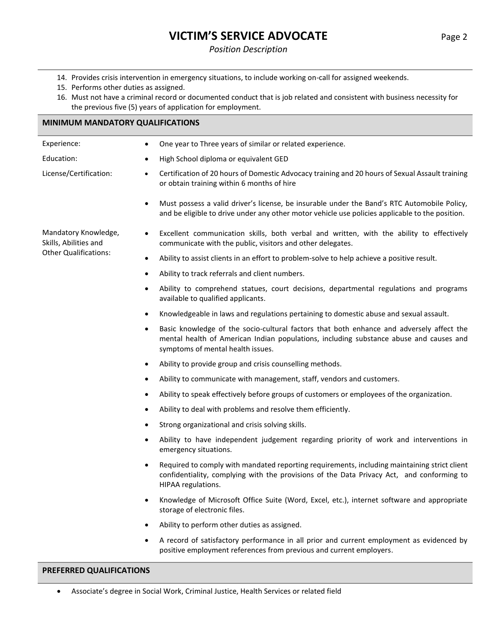# **VICTIM'S SERVICE ADVOCATE** Page 2

#### *Position Description*

- 14. Provides crisis intervention in emergency situations, to include working on-call for assigned weekends.
- 15. Performs other duties as assigned.
- 16. Must not have a criminal record or documented conduct that is job related and consistent with business necessity for the previous five (5) years of application for employment.

#### **MINIMUM MANDATORY QUALIFICATIONS**

| Experience:                                   | One year to Three years of similar or related experience.<br>$\bullet$                                                                                                                                                               |  |  |  |
|-----------------------------------------------|--------------------------------------------------------------------------------------------------------------------------------------------------------------------------------------------------------------------------------------|--|--|--|
| Education:                                    | High School diploma or equivalent GED                                                                                                                                                                                                |  |  |  |
| License/Certification:                        | Certification of 20 hours of Domestic Advocacy training and 20 hours of Sexual Assault training<br>$\bullet$<br>or obtain training within 6 months of hire                                                                           |  |  |  |
|                                               | Must possess a valid driver's license, be insurable under the Band's RTC Automobile Policy,<br>$\bullet$<br>and be eligible to drive under any other motor vehicle use policies applicable to the position.                          |  |  |  |
| Mandatory Knowledge,<br>Skills, Abilities and | Excellent communication skills, both verbal and written, with the ability to effectively<br>$\bullet$<br>communicate with the public, visitors and other delegates.                                                                  |  |  |  |
| <b>Other Qualifications:</b>                  | Ability to assist clients in an effort to problem-solve to help achieve a positive result.<br>$\bullet$                                                                                                                              |  |  |  |
|                                               | Ability to track referrals and client numbers.<br>٠                                                                                                                                                                                  |  |  |  |
|                                               | Ability to comprehend statues, court decisions, departmental regulations and programs<br>$\bullet$<br>available to qualified applicants.                                                                                             |  |  |  |
|                                               | Knowledgeable in laws and regulations pertaining to domestic abuse and sexual assault.<br>$\bullet$                                                                                                                                  |  |  |  |
|                                               | Basic knowledge of the socio-cultural factors that both enhance and adversely affect the<br>$\bullet$<br>mental health of American Indian populations, including substance abuse and causes and<br>symptoms of mental health issues. |  |  |  |
|                                               | Ability to provide group and crisis counselling methods.<br>$\bullet$                                                                                                                                                                |  |  |  |
|                                               | Ability to communicate with management, staff, vendors and customers.<br>٠                                                                                                                                                           |  |  |  |
|                                               | Ability to speak effectively before groups of customers or employees of the organization.<br>٠                                                                                                                                       |  |  |  |
|                                               | Ability to deal with problems and resolve them efficiently.<br>٠                                                                                                                                                                     |  |  |  |
|                                               | Strong organizational and crisis solving skills.<br>$\bullet$                                                                                                                                                                        |  |  |  |
|                                               | Ability to have independent judgement regarding priority of work and interventions in<br>٠<br>emergency situations.                                                                                                                  |  |  |  |
|                                               | Required to comply with mandated reporting requirements, including maintaining strict client<br>$\bullet$<br>confidentiality, complying with the provisions of the Data Privacy Act, and conforming to<br>HIPAA regulations.         |  |  |  |
|                                               | Knowledge of Microsoft Office Suite (Word, Excel, etc.), internet software and appropriate<br>storage of electronic files.                                                                                                           |  |  |  |
|                                               | Ability to perform other duties as assigned.<br>$\bullet$                                                                                                                                                                            |  |  |  |
|                                               | A record of satisfactory performance in all prior and current employment as evidenced by<br>٠<br>positive employment references from previous and current employers.                                                                 |  |  |  |
| PREFERRED QUALIFICATIONS                      |                                                                                                                                                                                                                                      |  |  |  |

• Associate's degree in Social Work, Criminal Justice, Health Services or related field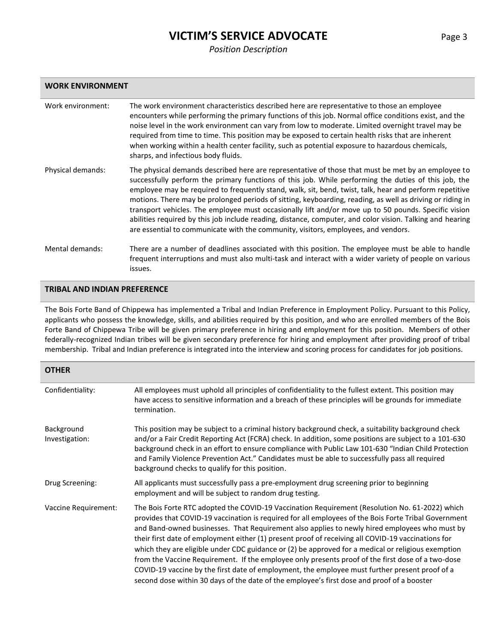## **VICTIM'S SERVICE ADVOCATE** Page 3

#### *Position Description*

| Work environment: | The work environment characteristics described here are representative to those an employee<br>encounters while performing the primary functions of this job. Normal office conditions exist, and the<br>noise level in the work environment can vary from low to moderate. Limited overnight travel may be<br>required from time to time. This position may be exposed to certain health risks that are inherent<br>when working within a health center facility, such as potential exposure to hazardous chemicals,<br>sharps, and infectious body fluids.                                                                                                                                                                                  |
|-------------------|-----------------------------------------------------------------------------------------------------------------------------------------------------------------------------------------------------------------------------------------------------------------------------------------------------------------------------------------------------------------------------------------------------------------------------------------------------------------------------------------------------------------------------------------------------------------------------------------------------------------------------------------------------------------------------------------------------------------------------------------------|
| Physical demands: | The physical demands described here are representative of those that must be met by an employee to<br>successfully perform the primary functions of this job. While performing the duties of this job, the<br>employee may be required to frequently stand, walk, sit, bend, twist, talk, hear and perform repetitive<br>motions. There may be prolonged periods of sitting, keyboarding, reading, as well as driving or riding in<br>transport vehicles. The employee must occasionally lift and/or move up to 50 pounds. Specific vision<br>abilities required by this job include reading, distance, computer, and color vision. Talking and hearing<br>are essential to communicate with the community, visitors, employees, and vendors. |
| Mental demands:   | There are a number of deadlines associated with this position. The employee must be able to handle<br>frequent interruptions and must also multi-task and interact with a wider variety of people on various<br>issues.                                                                                                                                                                                                                                                                                                                                                                                                                                                                                                                       |

#### **TRIBAL AND INDIAN PREFERENCE**

The Bois Forte Band of Chippewa has implemented a Tribal and Indian Preference in Employment Policy. Pursuant to this Policy, applicants who possess the knowledge, skills, and abilities required by this position, and who are enrolled members of the Bois Forte Band of Chippewa Tribe will be given primary preference in hiring and employment for this position. Members of other federally-recognized Indian tribes will be given secondary preference for hiring and employment after providing proof of tribal membership. Tribal and Indian preference is integrated into the interview and scoring process for candidates for job positions.

| <b>OTHER</b>                 |                                                                                                                                                                                                                                                                                                                                                                                                                                                                                                                                                                                                                                                                                                                                                                                                                          |
|------------------------------|--------------------------------------------------------------------------------------------------------------------------------------------------------------------------------------------------------------------------------------------------------------------------------------------------------------------------------------------------------------------------------------------------------------------------------------------------------------------------------------------------------------------------------------------------------------------------------------------------------------------------------------------------------------------------------------------------------------------------------------------------------------------------------------------------------------------------|
| Confidentiality:             | All employees must uphold all principles of confidentiality to the fullest extent. This position may<br>have access to sensitive information and a breach of these principles will be grounds for immediate<br>termination.                                                                                                                                                                                                                                                                                                                                                                                                                                                                                                                                                                                              |
| Background<br>Investigation: | This position may be subject to a criminal history background check, a suitability background check<br>and/or a Fair Credit Reporting Act (FCRA) check. In addition, some positions are subject to a 101-630<br>background check in an effort to ensure compliance with Public Law 101-630 "Indian Child Protection<br>and Family Violence Prevention Act." Candidates must be able to successfully pass all required<br>background checks to qualify for this position.                                                                                                                                                                                                                                                                                                                                                 |
| Drug Screening:              | All applicants must successfully pass a pre-employment drug screening prior to beginning<br>employment and will be subject to random drug testing.                                                                                                                                                                                                                                                                                                                                                                                                                                                                                                                                                                                                                                                                       |
| Vaccine Requirement:         | The Bois Forte RTC adopted the COVID-19 Vaccination Requirement (Resolution No. 61-2022) which<br>provides that COVID-19 vaccination is required for all employees of the Bois Forte Tribal Government<br>and Band-owned businesses. That Requirement also applies to newly hired employees who must by<br>their first date of employment either (1) present proof of receiving all COVID-19 vaccinations for<br>which they are eligible under CDC guidance or (2) be approved for a medical or religious exemption<br>from the Vaccine Requirement. If the employee only presents proof of the first dose of a two-dose<br>COVID-19 vaccine by the first date of employment, the employee must further present proof of a<br>second dose within 30 days of the date of the employee's first dose and proof of a booster |